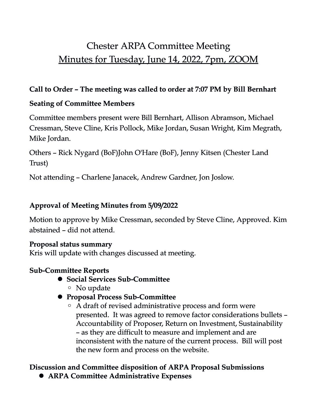# Chester ARPA Committee Meeting Minutes for Tuesday, June 14, 2022, 7pm, ZOOM

#### **Call to Order – The meeting was called to order at 7:07 PM by Bill Bernhart**

# **Seating of Committee Members**

Committee members present were Bill Bernhart, Allison Abramson, Michael Cressman, Steve Cline, Kris Pollock, Mike Jordan, Susan Wright, Kim Megrath, Mike Jordan.

Others – Rick Nygard (BoF)John O'Hare (BoF), Jenny Kitsen (Chester Land Trust)

Not attending – Charlene Janacek, Andrew Gardner, Jon Joslow.

# **Approval of Meeting Minutes from 5/09/2022**

Motion to approve by Mike Cressman, seconded by Steve Cline, Approved. Kim abstained – did not attend.

## **Proposal status summary**

Kris will update with changes discussed at meeting.

#### **Sub-Committee Reports**

- ! **Social Services Sub-Committee**
	- No update
- ! **Proposal Process Sub-Committee**
	- A draft of revised administrative process and form were presented. It was agreed to remove factor considerations bullets – Accountability of Proposer, Return on Investment, Sustainability – as they are difficult to measure and implement and are inconsistent with the nature of the current process. Bill will post the new form and process on the website.

#### **Discussion and Committee disposition of ARPA Proposal Submissions** ! **ARPA Committee Administrative Expenses**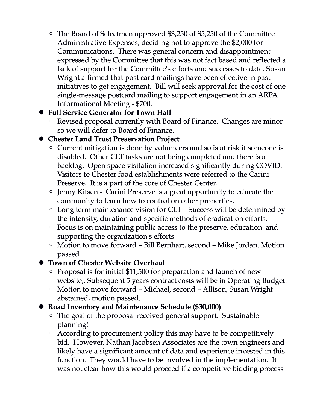◦ The Board of Selectmen approved \$3,250 of \$5,250 of the Committee Administrative Expenses, deciding not to approve the \$2,000 for Communications. There was general concern and disappointment expressed by the Committee that this was not fact based and reflected a lack of support for the Committee's efforts and successes to date. Susan Wright affirmed that post card mailings have been effective in past initiatives to get engagement. Bill will seek approval for the cost of one single-message postcard mailing to support engagement in an ARPA Informational Meeting - \$700.

#### ! **Full Service Generator for Town Hall**

◦ Revised proposal currently with Board of Finance. Changes are minor so we will defer to Board of Finance.

## ! **Chester Land Trust Preservation Project**

- Current mitigation is done by volunteers and so is at risk if someone is disabled. Other CLT tasks are not being completed and there is a backlog. Open space visitation increased significantly during COVID. Visitors to Chester food establishments were referred to the Carini Preserve. It is a part of the core of Chester Center.
- Jenny Kitsen Carini Preserve is a great opportunity to educate the community to learn how to control on other properties.
- Long term maintenance vision for CLT Success will be determined by the intensity, duration and specific methods of eradication efforts.
- Focus is on maintaining public access to the preserve, education and supporting the organization's efforts.
- Motion to move forward Bill Bernhart, second Mike Jordan. Motion passed

#### ! **Town of Chester Website Overhaul**

- Proposal is for initial \$11,500 for preparation and launch of new website,. Subsequent 5 years contract costs will be in Operating Budget.
- Motion to move forward Michael, second Allison, Susan Wright abstained, motion passed.

#### ! **Road Inventory and Maintenance Schedule (\$30,000)**

- The goal of the proposal received general support. Sustainable planning!
- According to procurement policy this may have to be competitively bid. However, Nathan Jacobsen Associates are the town engineers and likely have a significant amount of data and experience invested in this function. They would have to be involved in the implementation. It was not clear how this would proceed if a competitive bidding process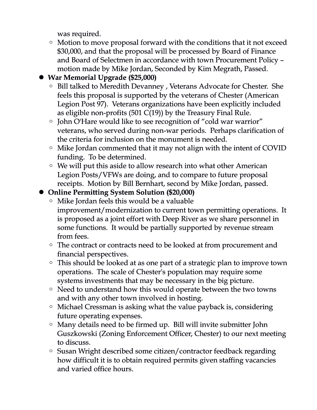was required.

◦ Motion to move proposal forward with the conditions that it not exceed \$30,000, and that the proposal will be processed by Board of Finance and Board of Selectmen in accordance with town Procurement Policy – motion made by Mike Jordan, Seconded by Kim Megrath, Passed.

# ! **War Memorial Upgrade (\$25,000)**

- Bill talked to Meredith Devanney , Veterans Advocate for Chester. She feels this proposal is supported by the veterans of Chester (American Legion Post 97). Veterans organizations have been explicitly included as eligible non-profits (501 C(19)) by the Treasury Final Rule.
- John O'Hare would like to see recognition of "cold war warrior" veterans, who served during non-war periods. Perhaps clarification of the criteria for inclusion on the monument is needed.
- Mike Jordan commented that it may not align with the intent of COVID funding. To be determined.
- We will put this aside to allow research into what other American Legion Posts/VFWs are doing, and to compare to future proposal receipts. Motion by Bill Bernhart, second by Mike Jordan, passed.

## ! **Online Permitting System Solution (\$20,000)**

- Mike Jordan feels this would be a valuable improvement/modernization to current town permitting operations. It is proposed as a joint effort with Deep River as we share personnel in some functions. It would be partially supported by revenue stream from fees.
- The contract or contracts need to be looked at from procurement and financial perspectives.
- This should be looked at as one part of a strategic plan to improve town operations. The scale of Chester's population may require some systems investments that may be necessary in the big picture.
- Need to understand how this would operate between the two towns and with any other town involved in hosting.
- Michael Cressman is asking what the value payback is, considering future operating expenses.
- Many details need to be firmed up. Bill will invite submitter John Guszkowski (Zoning Enforcement Officer, Chester) to our next meeting to discuss.
- Susan Wright described some citizen/contractor feedback regarding how difficult it is to obtain required permits given staffing vacancies and varied office hours.